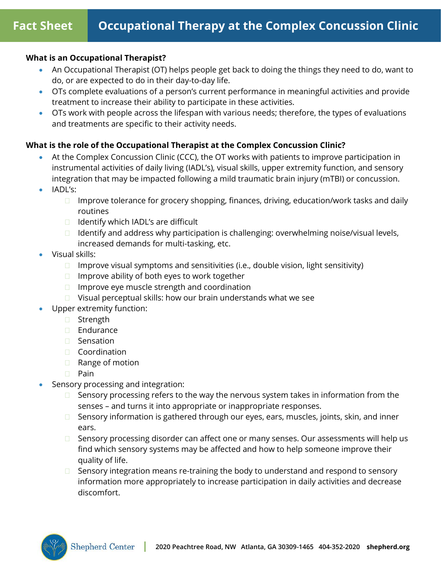# **What is an Occupational Therapist?**

- An Occupational Therapist (OT) helps people get back to doing the things they need to do, want to do, or are expected to do in their day-to-day life.
- OTs complete evaluations of a person's current performance in meaningful activities and provide treatment to increase their ability to participate in these activities.
- OTs work with people across the lifespan with various needs; therefore, the types of evaluations and treatments are specific to their activity needs.

# **What is the role of the Occupational Therapist at the Complex Concussion Clinic?**

- At the Complex Concussion Clinic (CCC), the OT works with patients to improve participation in instrumental activities of daily living (IADL's), visual skills, upper extremity function, and sensory integration that may be impacted following a mild traumatic brain injury (mTBI) or concussion.
- IADL's:
	- $\Box$  Improve tolerance for grocery shopping, finances, driving, education/work tasks and daily routines
	- $\Box$  Identify which IADL's are difficult
	- $\Box$  Identify and address why participation is challenging: overwhelming noise/visual levels, increased demands for multi-tasking, etc.
- Visual skills:
	- $\Box$  Improve visual symptoms and sensitivities (i.e., double vision, light sensitivity)
	- $\Box$  Improve ability of both eyes to work together
	- $\Box$  Improve eye muscle strength and coordination
	- $\Box$  Visual perceptual skills: how our brain understands what we see
- Upper extremity function:
	- □ Strength
	- **Endurance**
	- □ Sensation
	- Coordination
	- □ Range of motion
	- **D** Pain
- Sensory processing and integration:
	- $\Box$  Sensory processing refers to the way the nervous system takes in information from the senses – and turns it into appropriate or inappropriate responses.
	- □ Sensory information is gathered through our eyes, ears, muscles, joints, skin, and inner ears.
	- □ Sensory processing disorder can affect one or many senses. Our assessments will help us find which sensory systems may be affected and how to help someone improve their quality of life.
	- $\Box$  Sensory integration means re-training the body to understand and respond to sensory information more appropriately to increase participation in daily activities and decrease discomfort.